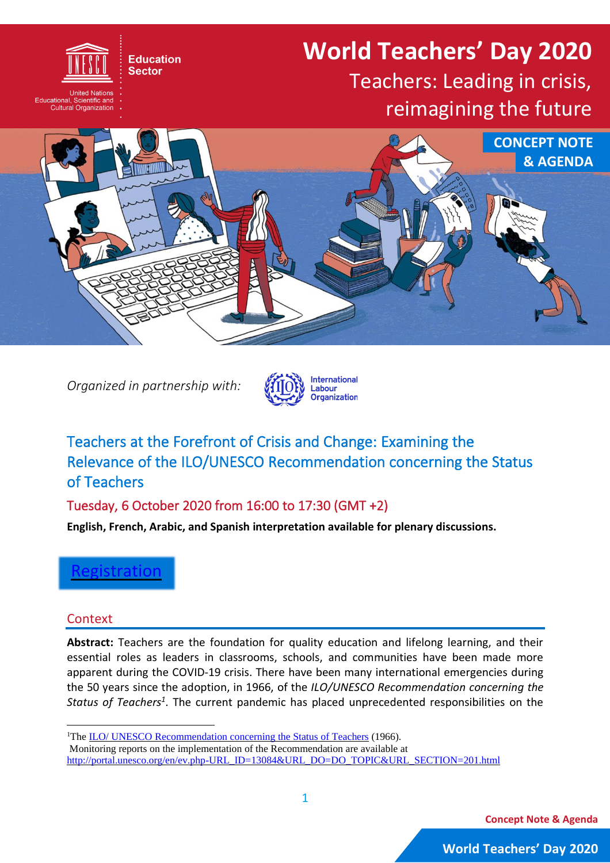# **World Teachers' Day 2020**

## Teachers: Leading in crisis, reimagining the future



*Organized in partnership with:*

**Education Sector** 

cational, Scientific and<br>Cultural Organization



### Teachers at the Forefront of Crisis and Change: Examining the Relevance of the ILO/UNESCO Recommendation concerning the Status of Teachers

Tuesday, 6 October 2020 from 16:00 to 17:30 (GMT +2)

**English, French, Arabic, and Spanish interpretation available for plenary discussions.**

**[Registration](https://unesco-org.zoom.us/meeting/register/tJMrdOqsrz4pHtybLjRYH4ikpVssQc4GJmVy)** 

#### Context

**Abstract:** Teachers are the foundation for quality education and lifelong learning, and their essential roles as leaders in classrooms, schools, and communities have been made more apparent during the COVID-19 crisis. There have been many international emergencies during the 50 years since the adoption, in 1966, of the *ILO/UNESCO Recommendation concerning the Status of Teachers<sup>1</sup>* . The current pandemic has placed unprecedented responsibilities on the

**Concept Note & Agenda**

1

<sup>&</sup>lt;sup>1</sup>The ILO/ UNESCO [Recommendation](https://www.ilo.org/wcmsp5/groups/public/---ed_dialogue/---sector/documents/normativeinstrument/wcms_493315.pdf) concerning the Status of Teachers (1966). Monitoring reports on the implementation of the Recommendation are available at [http://portal.unesco.org/en/ev.php-URL\\_ID=13084&URL\\_DO=DO\\_TOPIC&URL\\_SECTION=201.html](http://portal.unesco.org/en/ev.php-URL_ID=13084&URL_DO=DO_TOPIC&URL_SECTION=201.html)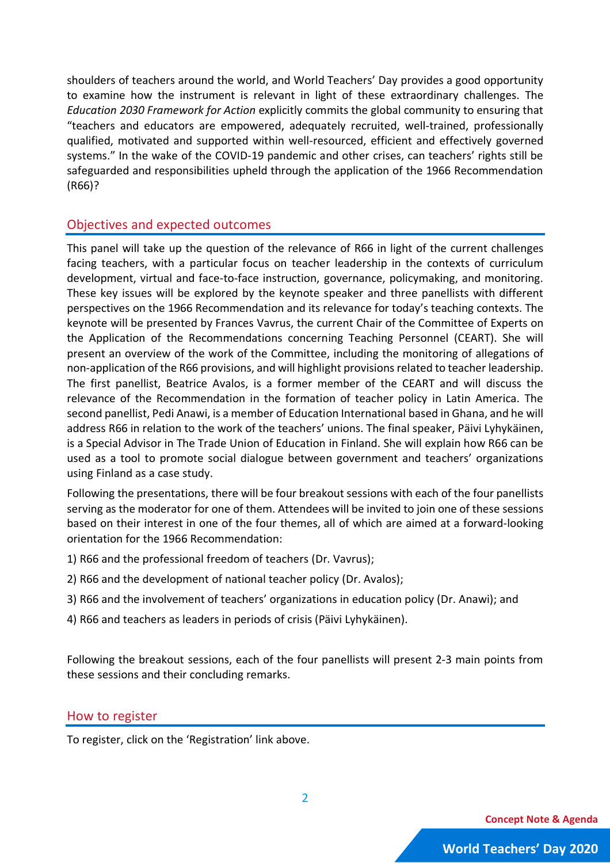shoulders of teachers around the world, and World Teachers' Day provides a good opportunity to examine how the instrument is relevant in light of these extraordinary challenges. The *Education 2030 Framework for Action* explicitly commits the global community to ensuring that "teachers and educators are empowered, adequately recruited, well-trained, professionally qualified, motivated and supported within well-resourced, efficient and effectively governed systems." In the wake of the COVID-19 pandemic and other crises, can teachers' rights still be safeguarded and responsibilities upheld through the application of the 1966 Recommendation (R66)?

#### Objectives and expected outcomes

This panel will take up the question of the relevance of R66 in light of the current challenges facing teachers, with a particular focus on teacher leadership in the contexts of curriculum development, virtual and face-to-face instruction, governance, policymaking, and monitoring. These key issues will be explored by the keynote speaker and three panellists with different perspectives on the 1966 Recommendation and its relevance for today's teaching contexts. The keynote will be presented by Frances Vavrus, the current Chair of the Committee of Experts on the Application of the Recommendations concerning Teaching Personnel (CEART). She will present an overview of the work of the Committee, including the monitoring of allegations of non-application of the R66 provisions, and will highlight provisionsrelated to teacher leadership. The first panellist, Beatrice Avalos, is a former member of the CEART and will discuss the relevance of the Recommendation in the formation of teacher policy in Latin America. The second panellist, Pedi Anawi, is a member of Education International based in Ghana, and he will address R66 in relation to the work of the teachers' unions. The final speaker, Päivi Lyhykäinen, is a Special Advisor in The Trade Union of Education in Finland. She will explain how R66 can be used as a tool to promote social dialogue between government and teachers' organizations using Finland as a case study.

Following the presentations, there will be four breakout sessions with each of the four panellists serving as the moderator for one of them. Attendees will be invited to join one of these sessions based on their interest in one of the four themes, all of which are aimed at a forward-looking orientation for the 1966 Recommendation:

- 1) R66 and the professional freedom of teachers (Dr. Vavrus);
- 2) R66 and the development of national teacher policy (Dr. Avalos);
- 3) R66 and the involvement of teachers' organizations in education policy (Dr. Anawi); and
- 4) R66 and teachers as leaders in periods of crisis (Päivi Lyhykäinen).

Following the breakout sessions, each of the four panellists will present 2-3 main points from these sessions and their concluding remarks.

#### How to register

To register, click on the 'Registration' link above.

**Concept Note & Agenda**

2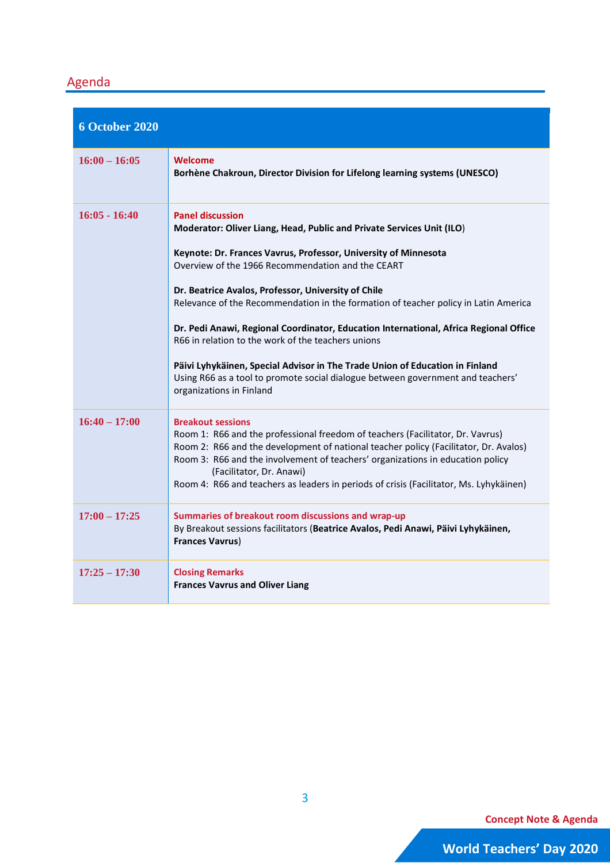### Agenda

| <b>6 October 2020</b> |                                                                                                                                                                                                                                                                                                                                                                                                                                                                                                                                                                                                                                                                                                                      |
|-----------------------|----------------------------------------------------------------------------------------------------------------------------------------------------------------------------------------------------------------------------------------------------------------------------------------------------------------------------------------------------------------------------------------------------------------------------------------------------------------------------------------------------------------------------------------------------------------------------------------------------------------------------------------------------------------------------------------------------------------------|
| $16:00 - 16:05$       | <b>Welcome</b><br>Borhène Chakroun, Director Division for Lifelong learning systems (UNESCO)                                                                                                                                                                                                                                                                                                                                                                                                                                                                                                                                                                                                                         |
| $16:05 - 16:40$       | <b>Panel discussion</b><br>Moderator: Oliver Liang, Head, Public and Private Services Unit (ILO)<br>Keynote: Dr. Frances Vavrus, Professor, University of Minnesota<br>Overview of the 1966 Recommendation and the CEART<br>Dr. Beatrice Avalos, Professor, University of Chile<br>Relevance of the Recommendation in the formation of teacher policy in Latin America<br>Dr. Pedi Anawi, Regional Coordinator, Education International, Africa Regional Office<br>R66 in relation to the work of the teachers unions<br>Päivi Lyhykäinen, Special Advisor in The Trade Union of Education in Finland<br>Using R66 as a tool to promote social dialogue between government and teachers'<br>organizations in Finland |
| $16:40 - 17:00$       | <b>Breakout sessions</b><br>Room 1: R66 and the professional freedom of teachers (Facilitator, Dr. Vavrus)<br>Room 2: R66 and the development of national teacher policy (Facilitator, Dr. Avalos)<br>Room 3: R66 and the involvement of teachers' organizations in education policy<br>(Facilitator, Dr. Anawi)<br>Room 4: R66 and teachers as leaders in periods of crisis (Facilitator, Ms. Lyhykäinen)                                                                                                                                                                                                                                                                                                           |
| $17:00 - 17:25$       | Summaries of breakout room discussions and wrap-up<br>By Breakout sessions facilitators (Beatrice Avalos, Pedi Anawi, Päivi Lyhykäinen,<br><b>Frances Vavrus)</b>                                                                                                                                                                                                                                                                                                                                                                                                                                                                                                                                                    |
| $17:25 - 17:30$       | <b>Closing Remarks</b><br><b>Frances Vavrus and Oliver Liang</b>                                                                                                                                                                                                                                                                                                                                                                                                                                                                                                                                                                                                                                                     |

**Concept Note & Agenda**

3